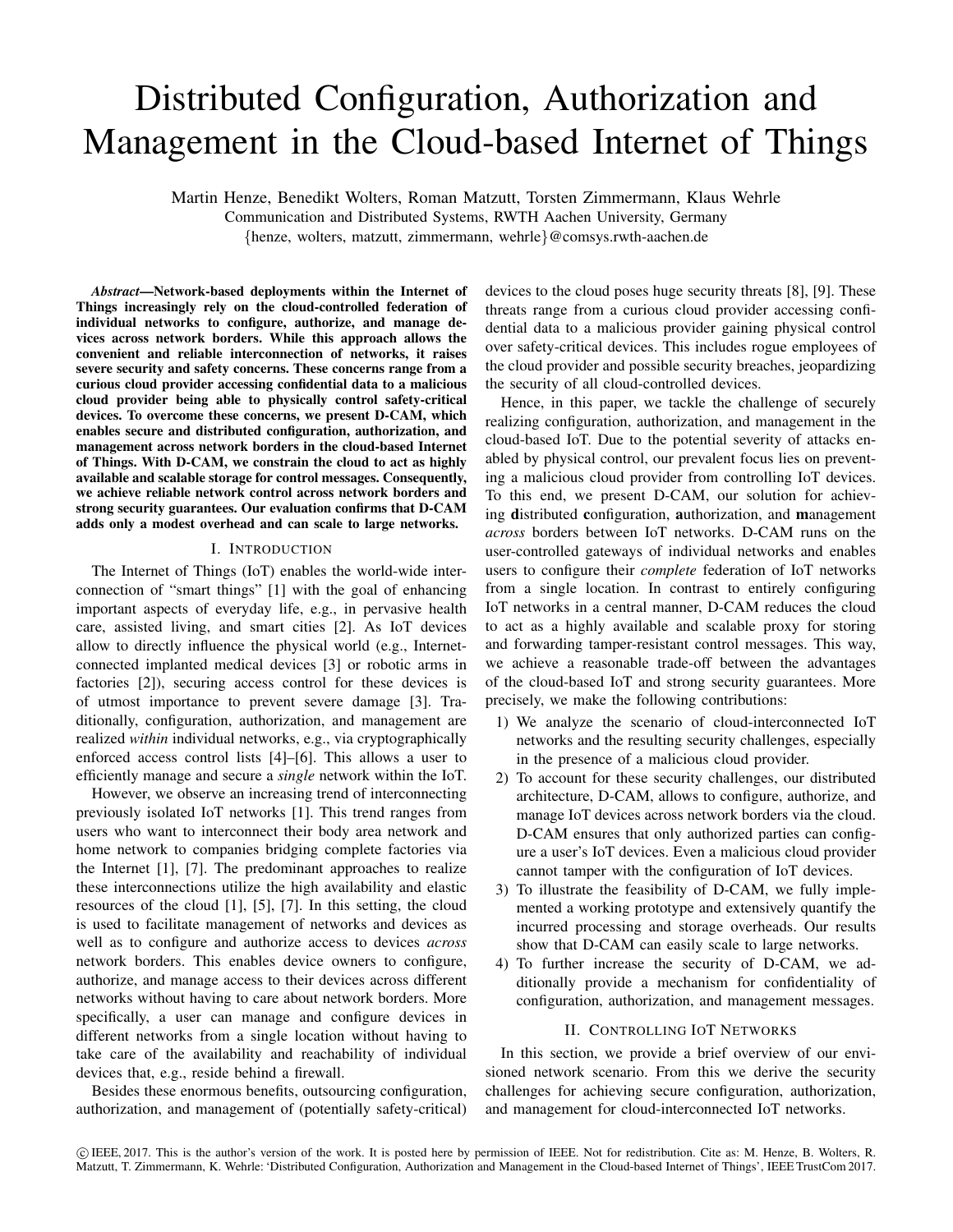# Distributed Configuration, Authorization and Management in the Cloud-based Internet of Things

Martin Henze, Benedikt Wolters, Roman Matzutt, Torsten Zimmermann, Klaus Wehrle Communication and Distributed Systems, RWTH Aachen University, Germany

{henze, wolters, matzutt, zimmermann, wehrle}@comsys.rwth-aachen.de

*Abstract*—Network-based deployments within the Internet of Things increasingly rely on the cloud-controlled federation of individual networks to configure, authorize, and manage devices across network borders. While this approach allows the convenient and reliable interconnection of networks, it raises severe security and safety concerns. These concerns range from a curious cloud provider accessing confidential data to a malicious cloud provider being able to physically control safety-critical devices. To overcome these concerns, we present D-CAM, which enables secure and distributed configuration, authorization, and management across network borders in the cloud-based Internet of Things. With D-CAM, we constrain the cloud to act as highly available and scalable storage for control messages. Consequently, we achieve reliable network control across network borders and strong security guarantees. Our evaluation confirms that D-CAM adds only a modest overhead and can scale to large networks.

#### I. INTRODUCTION

The Internet of Things (IoT) enables the world-wide interconnection of "smart things" [1] with the goal of enhancing important aspects of everyday life, e.g., in pervasive health care, assisted living, and smart cities [2]. As IoT devices allow to directly influence the physical world (e.g., Internetconnected implanted medical devices [3] or robotic arms in factories [2]), securing access control for these devices is of utmost importance to prevent severe damage [3]. Traditionally, configuration, authorization, and management are realized *within* individual networks, e.g., via cryptographically enforced access control lists [4]–[6]. This allows a user to efficiently manage and secure a *single* network within the IoT.

However, we observe an increasing trend of interconnecting previously isolated IoT networks [1]. This trend ranges from users who want to interconnect their body area network and home network to companies bridging complete factories via the Internet [1], [7]. The predominant approaches to realize these interconnections utilize the high availability and elastic resources of the cloud [1], [5], [7]. In this setting, the cloud is used to facilitate management of networks and devices as well as to configure and authorize access to devices *across* network borders. This enables device owners to configure, authorize, and manage access to their devices across different networks without having to care about network borders. More specifically, a user can manage and configure devices in different networks from a single location without having to take care of the availability and reachability of individual devices that, e.g., reside behind a firewall.

Besides these enormous benefits, outsourcing configuration, authorization, and management of (potentially safety-critical) devices to the cloud poses huge security threats [8], [9]. These threats range from a curious cloud provider accessing confidential data to a malicious provider gaining physical control over safety-critical devices. This includes rogue employees of the cloud provider and possible security breaches, jeopardizing the security of all cloud-controlled devices.

Hence, in this paper, we tackle the challenge of securely realizing configuration, authorization, and management in the cloud-based IoT. Due to the potential severity of attacks enabled by physical control, our prevalent focus lies on preventing a malicious cloud provider from controlling IoT devices. To this end, we present D-CAM, our solution for achieving distributed configuration, authorization, and management *across* borders between IoT networks. D-CAM runs on the user-controlled gateways of individual networks and enables users to configure their *complete* federation of IoT networks from a single location. In contrast to entirely configuring IoT networks in a central manner, D-CAM reduces the cloud to act as a highly available and scalable proxy for storing and forwarding tamper-resistant control messages. This way, we achieve a reasonable trade-off between the advantages of the cloud-based IoT and strong security guarantees. More precisely, we make the following contributions:

- 1) We analyze the scenario of cloud-interconnected IoT networks and the resulting security challenges, especially in the presence of a malicious cloud provider.
- 2) To account for these security challenges, our distributed architecture, D-CAM, allows to configure, authorize, and manage IoT devices across network borders via the cloud. D-CAM ensures that only authorized parties can configure a user's IoT devices. Even a malicious cloud provider cannot tamper with the configuration of IoT devices.
- 3) To illustrate the feasibility of D-CAM, we fully implemented a working prototype and extensively quantify the incurred processing and storage overheads. Our results show that D-CAM can easily scale to large networks.
- 4) To further increase the security of D-CAM, we additionally provide a mechanism for confidentiality of configuration, authorization, and management messages.

#### II. CONTROLLING IOT NETWORKS

In this section, we provide a brief overview of our envisioned network scenario. From this we derive the security challenges for achieving secure configuration, authorization, and management for cloud-interconnected IoT networks.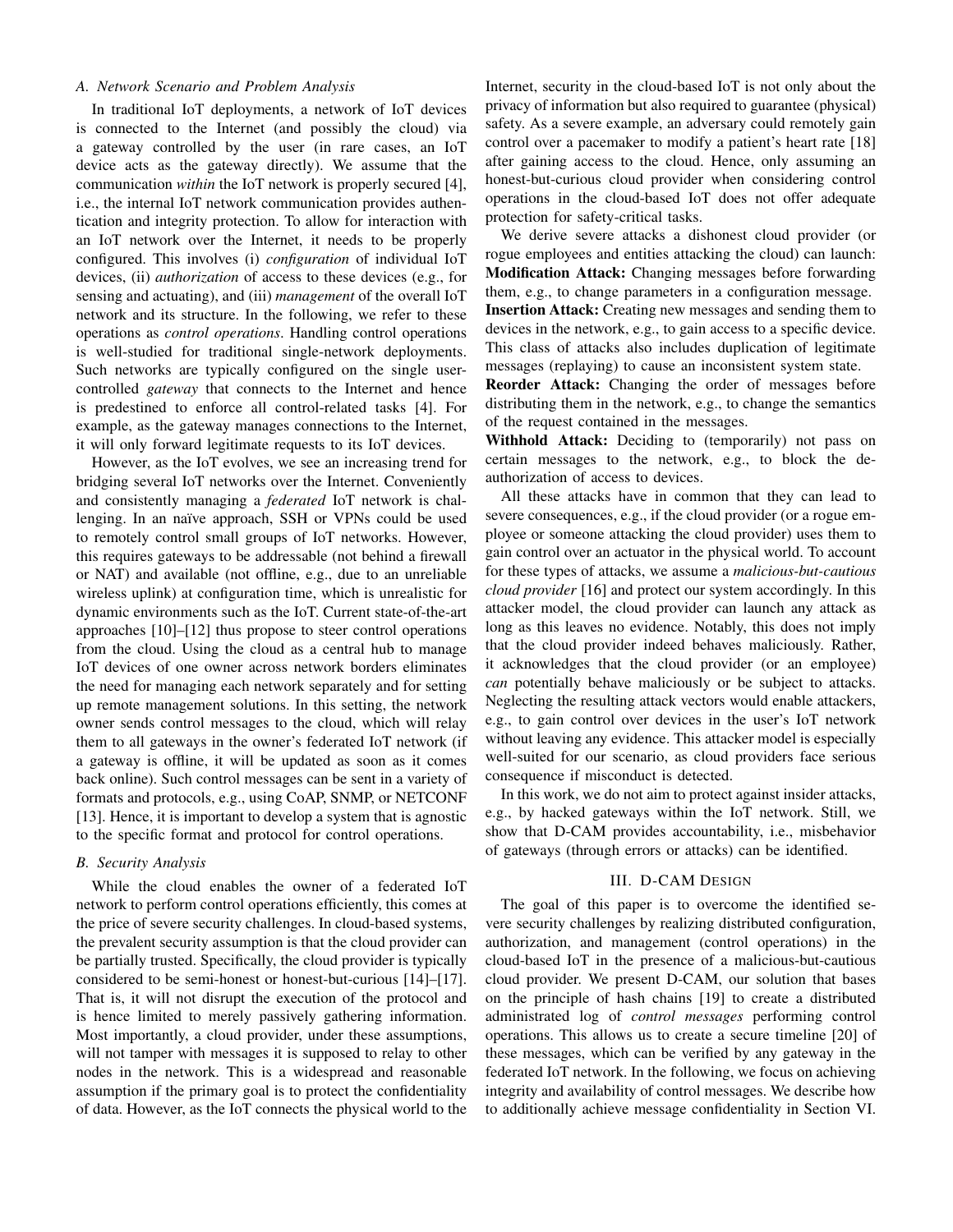## *A. Network Scenario and Problem Analysis*

In traditional IoT deployments, a network of IoT devices is connected to the Internet (and possibly the cloud) via a gateway controlled by the user (in rare cases, an IoT device acts as the gateway directly). We assume that the communication *within* the IoT network is properly secured [4], i.e., the internal IoT network communication provides authentication and integrity protection. To allow for interaction with an IoT network over the Internet, it needs to be properly configured. This involves (i) *configuration* of individual IoT devices, (ii) *authorization* of access to these devices (e.g., for sensing and actuating), and (iii) *management* of the overall IoT network and its structure. In the following, we refer to these operations as *control operations*. Handling control operations is well-studied for traditional single-network deployments. Such networks are typically configured on the single usercontrolled *gateway* that connects to the Internet and hence is predestined to enforce all control-related tasks [4]. For example, as the gateway manages connections to the Internet, it will only forward legitimate requests to its IoT devices.

However, as the IoT evolves, we see an increasing trend for bridging several IoT networks over the Internet. Conveniently and consistently managing a *federated* IoT network is challenging. In an naïve approach, SSH or VPNs could be used to remotely control small groups of IoT networks. However, this requires gateways to be addressable (not behind a firewall or NAT) and available (not offline, e.g., due to an unreliable wireless uplink) at configuration time, which is unrealistic for dynamic environments such as the IoT. Current state-of-the-art approaches [10]–[12] thus propose to steer control operations from the cloud. Using the cloud as a central hub to manage IoT devices of one owner across network borders eliminates the need for managing each network separately and for setting up remote management solutions. In this setting, the network owner sends control messages to the cloud, which will relay them to all gateways in the owner's federated IoT network (if a gateway is offline, it will be updated as soon as it comes back online). Such control messages can be sent in a variety of formats and protocols, e.g., using CoAP, SNMP, or NETCONF [13]. Hence, it is important to develop a system that is agnostic to the specific format and protocol for control operations.

# *B. Security Analysis*

While the cloud enables the owner of a federated IoT network to perform control operations efficiently, this comes at the price of severe security challenges. In cloud-based systems, the prevalent security assumption is that the cloud provider can be partially trusted. Specifically, the cloud provider is typically considered to be semi-honest or honest-but-curious [14]–[17]. That is, it will not disrupt the execution of the protocol and is hence limited to merely passively gathering information. Most importantly, a cloud provider, under these assumptions, will not tamper with messages it is supposed to relay to other nodes in the network. This is a widespread and reasonable assumption if the primary goal is to protect the confidentiality of data. However, as the IoT connects the physical world to the

Internet, security in the cloud-based IoT is not only about the privacy of information but also required to guarantee (physical) safety. As a severe example, an adversary could remotely gain control over a pacemaker to modify a patient's heart rate [18] after gaining access to the cloud. Hence, only assuming an honest-but-curious cloud provider when considering control operations in the cloud-based IoT does not offer adequate protection for safety-critical tasks.

We derive severe attacks a dishonest cloud provider (or rogue employees and entities attacking the cloud) can launch: Modification Attack: Changing messages before forwarding them, e.g., to change parameters in a configuration message. Insertion Attack: Creating new messages and sending them to devices in the network, e.g., to gain access to a specific device. This class of attacks also includes duplication of legitimate messages (replaying) to cause an inconsistent system state.

Reorder Attack: Changing the order of messages before distributing them in the network, e.g., to change the semantics of the request contained in the messages.

Withhold Attack: Deciding to (temporarily) not pass on certain messages to the network, e.g., to block the deauthorization of access to devices.

All these attacks have in common that they can lead to severe consequences, e.g., if the cloud provider (or a rogue employee or someone attacking the cloud provider) uses them to gain control over an actuator in the physical world. To account for these types of attacks, we assume a *malicious-but-cautious cloud provider* [16] and protect our system accordingly. In this attacker model, the cloud provider can launch any attack as long as this leaves no evidence. Notably, this does not imply that the cloud provider indeed behaves maliciously. Rather, it acknowledges that the cloud provider (or an employee) *can* potentially behave maliciously or be subject to attacks. Neglecting the resulting attack vectors would enable attackers, e.g., to gain control over devices in the user's IoT network without leaving any evidence. This attacker model is especially well-suited for our scenario, as cloud providers face serious consequence if misconduct is detected.

In this work, we do not aim to protect against insider attacks, e.g., by hacked gateways within the IoT network. Still, we show that D-CAM provides accountability, i.e., misbehavior of gateways (through errors or attacks) can be identified.

#### III. D-CAM DESIGN

The goal of this paper is to overcome the identified severe security challenges by realizing distributed configuration, authorization, and management (control operations) in the cloud-based IoT in the presence of a malicious-but-cautious cloud provider. We present D-CAM, our solution that bases on the principle of hash chains [19] to create a distributed administrated log of *control messages* performing control operations. This allows us to create a secure timeline [20] of these messages, which can be verified by any gateway in the federated IoT network. In the following, we focus on achieving integrity and availability of control messages. We describe how to additionally achieve message confidentiality in Section VI.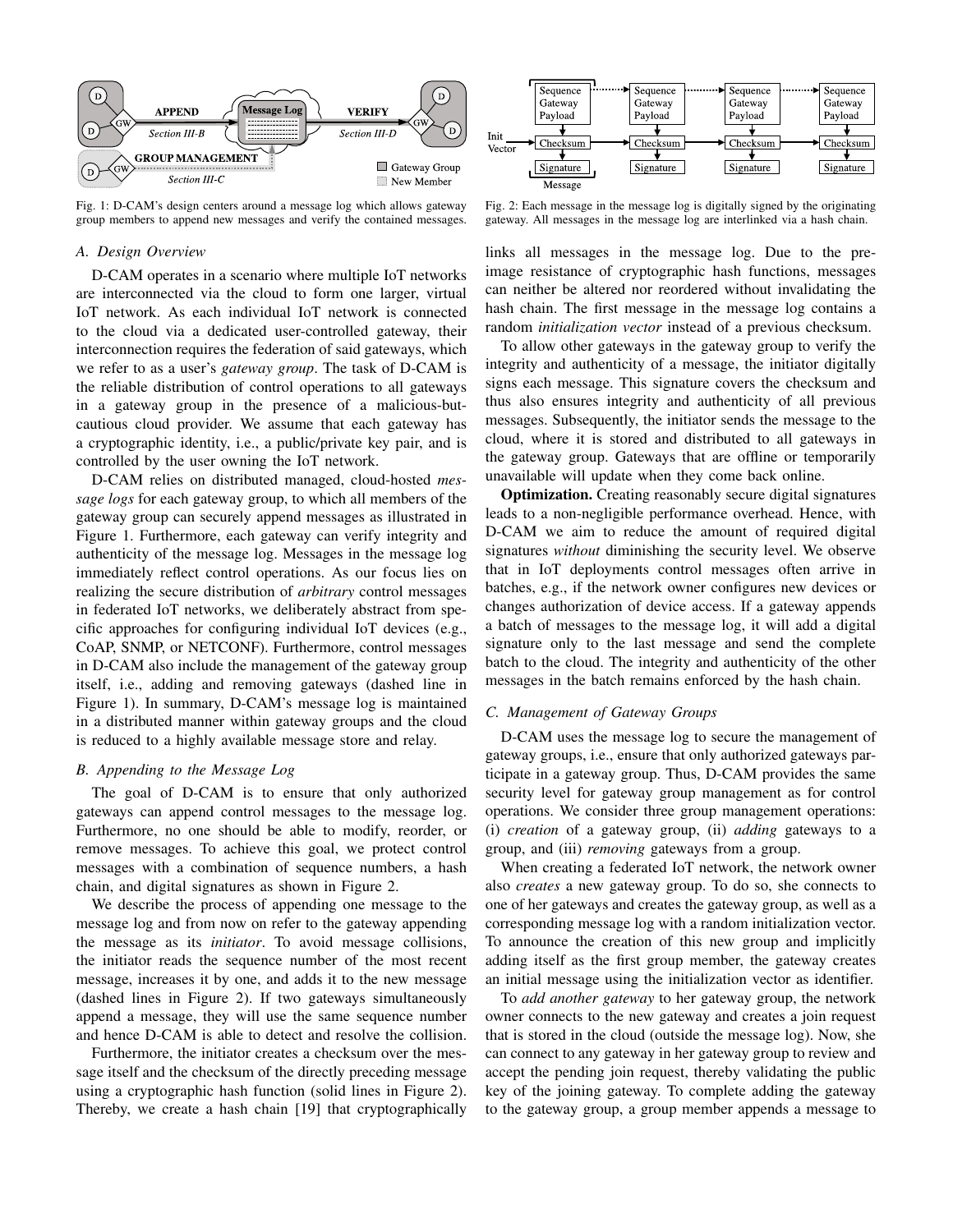

Fig. 1: D-CAM's design centers around a message log which allows gateway group members to append new messages and verify the contained messages.

## *A. Design Overview*

D-CAM operates in a scenario where multiple IoT networks are interconnected via the cloud to form one larger, virtual IoT network. As each individual IoT network is connected to the cloud via a dedicated user-controlled gateway, their interconnection requires the federation of said gateways, which we refer to as a user's *gateway group*. The task of D-CAM is the reliable distribution of control operations to all gateways in a gateway group in the presence of a malicious-butcautious cloud provider. We assume that each gateway has a cryptographic identity, i.e., a public/private key pair, and is controlled by the user owning the IoT network.

D-CAM relies on distributed managed, cloud-hosted *message logs* for each gateway group, to which all members of the gateway group can securely append messages as illustrated in Figure 1. Furthermore, each gateway can verify integrity and authenticity of the message log. Messages in the message log immediately reflect control operations. As our focus lies on realizing the secure distribution of *arbitrary* control messages in federated IoT networks, we deliberately abstract from specific approaches for configuring individual IoT devices (e.g., CoAP, SNMP, or NETCONF). Furthermore, control messages in D-CAM also include the management of the gateway group itself, i.e., adding and removing gateways (dashed line in Figure 1). In summary, D-CAM's message log is maintained in a distributed manner within gateway groups and the cloud is reduced to a highly available message store and relay.

## *B. Appending to the Message Log*

The goal of D-CAM is to ensure that only authorized gateways can append control messages to the message log. Furthermore, no one should be able to modify, reorder, or remove messages. To achieve this goal, we protect control messages with a combination of sequence numbers, a hash chain, and digital signatures as shown in Figure 2.

We describe the process of appending one message to the message log and from now on refer to the gateway appending the message as its *initiator*. To avoid message collisions, the initiator reads the sequence number of the most recent message, increases it by one, and adds it to the new message (dashed lines in Figure 2). If two gateways simultaneously append a message, they will use the same sequence number and hence D-CAM is able to detect and resolve the collision.

Furthermore, the initiator creates a checksum over the message itself and the checksum of the directly preceding message using a cryptographic hash function (solid lines in Figure 2). Thereby, we create a hash chain [19] that cryptographically



Fig. 2: Each message in the message log is digitally signed by the originating gateway. All messages in the message log are interlinked via a hash chain.

links all messages in the message log. Due to the preimage resistance of cryptographic hash functions, messages can neither be altered nor reordered without invalidating the hash chain. The first message in the message log contains a random *initialization vector* instead of a previous checksum.

To allow other gateways in the gateway group to verify the integrity and authenticity of a message, the initiator digitally signs each message. This signature covers the checksum and thus also ensures integrity and authenticity of all previous messages. Subsequently, the initiator sends the message to the cloud, where it is stored and distributed to all gateways in the gateway group. Gateways that are offline or temporarily unavailable will update when they come back online.

Optimization. Creating reasonably secure digital signatures leads to a non-negligible performance overhead. Hence, with D-CAM we aim to reduce the amount of required digital signatures *without* diminishing the security level. We observe that in IoT deployments control messages often arrive in batches, e.g., if the network owner configures new devices or changes authorization of device access. If a gateway appends a batch of messages to the message log, it will add a digital signature only to the last message and send the complete batch to the cloud. The integrity and authenticity of the other messages in the batch remains enforced by the hash chain.

#### *C. Management of Gateway Groups*

D-CAM uses the message log to secure the management of gateway groups, i.e., ensure that only authorized gateways participate in a gateway group. Thus, D-CAM provides the same security level for gateway group management as for control operations. We consider three group management operations: (i) *creation* of a gateway group, (ii) *adding* gateways to a group, and (iii) *removing* gateways from a group.

When creating a federated IoT network, the network owner also *creates* a new gateway group. To do so, she connects to one of her gateways and creates the gateway group, as well as a corresponding message log with a random initialization vector. To announce the creation of this new group and implicitly adding itself as the first group member, the gateway creates an initial message using the initialization vector as identifier.

To *add another gateway* to her gateway group, the network owner connects to the new gateway and creates a join request that is stored in the cloud (outside the message log). Now, she can connect to any gateway in her gateway group to review and accept the pending join request, thereby validating the public key of the joining gateway. To complete adding the gateway to the gateway group, a group member appends a message to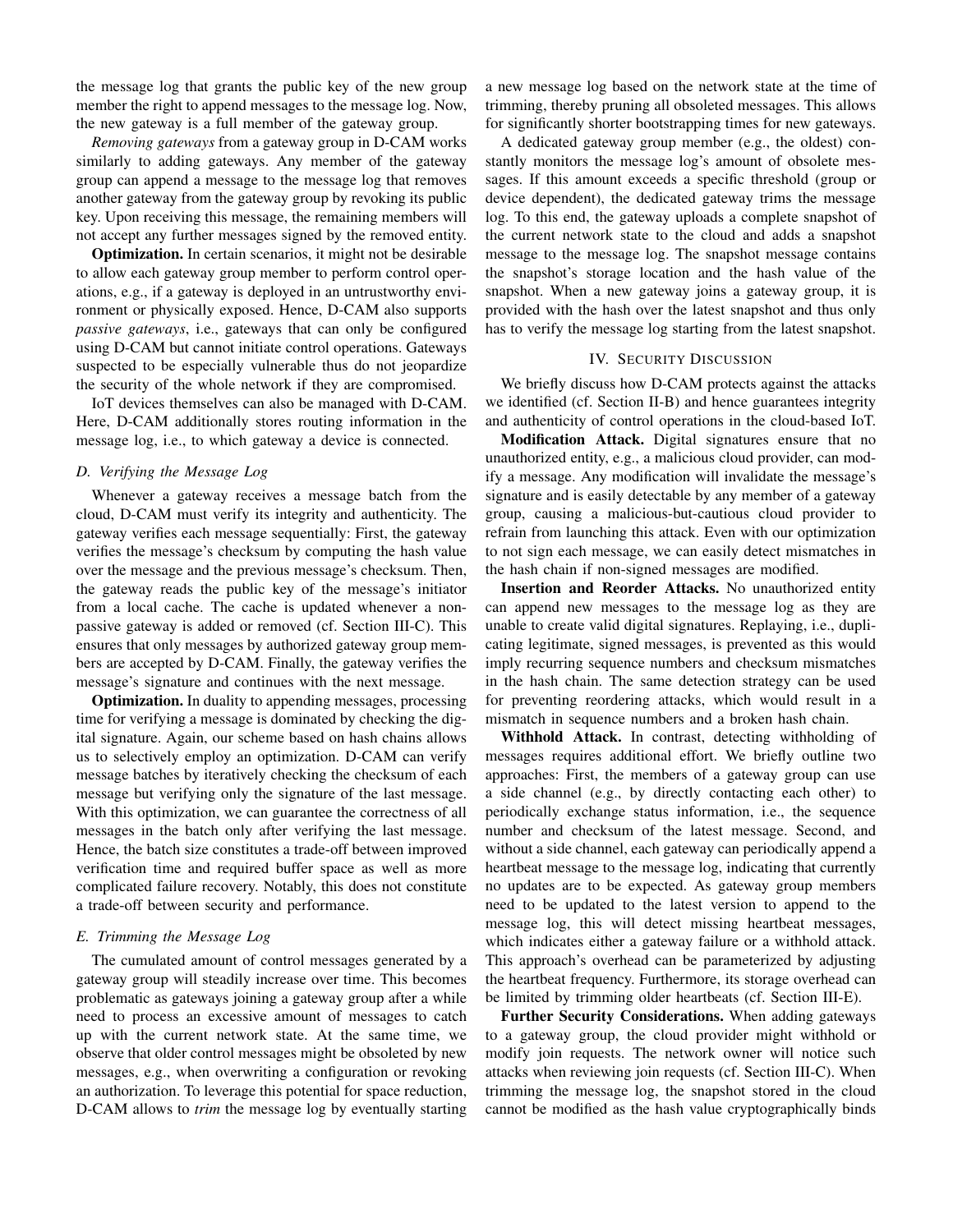the message log that grants the public key of the new group member the right to append messages to the message log. Now, the new gateway is a full member of the gateway group.

*Removing gateways* from a gateway group in D-CAM works similarly to adding gateways. Any member of the gateway group can append a message to the message log that removes another gateway from the gateway group by revoking its public key. Upon receiving this message, the remaining members will not accept any further messages signed by the removed entity.

Optimization. In certain scenarios, it might not be desirable to allow each gateway group member to perform control operations, e.g., if a gateway is deployed in an untrustworthy environment or physically exposed. Hence, D-CAM also supports *passive gateways*, i.e., gateways that can only be configured using D-CAM but cannot initiate control operations. Gateways suspected to be especially vulnerable thus do not jeopardize the security of the whole network if they are compromised.

IoT devices themselves can also be managed with D-CAM. Here, D-CAM additionally stores routing information in the message log, i.e., to which gateway a device is connected.

# *D. Verifying the Message Log*

Whenever a gateway receives a message batch from the cloud, D-CAM must verify its integrity and authenticity. The gateway verifies each message sequentially: First, the gateway verifies the message's checksum by computing the hash value over the message and the previous message's checksum. Then, the gateway reads the public key of the message's initiator from a local cache. The cache is updated whenever a nonpassive gateway is added or removed (cf. Section III-C). This ensures that only messages by authorized gateway group members are accepted by D-CAM. Finally, the gateway verifies the message's signature and continues with the next message.

Optimization. In duality to appending messages, processing time for verifying a message is dominated by checking the digital signature. Again, our scheme based on hash chains allows us to selectively employ an optimization. D-CAM can verify message batches by iteratively checking the checksum of each message but verifying only the signature of the last message. With this optimization, we can guarantee the correctness of all messages in the batch only after verifying the last message. Hence, the batch size constitutes a trade-off between improved verification time and required buffer space as well as more complicated failure recovery. Notably, this does not constitute a trade-off between security and performance.

# *E. Trimming the Message Log*

The cumulated amount of control messages generated by a gateway group will steadily increase over time. This becomes problematic as gateways joining a gateway group after a while need to process an excessive amount of messages to catch up with the current network state. At the same time, we observe that older control messages might be obsoleted by new messages, e.g., when overwriting a configuration or revoking an authorization. To leverage this potential for space reduction, D-CAM allows to *trim* the message log by eventually starting a new message log based on the network state at the time of trimming, thereby pruning all obsoleted messages. This allows for significantly shorter bootstrapping times for new gateways.

A dedicated gateway group member (e.g., the oldest) constantly monitors the message log's amount of obsolete messages. If this amount exceeds a specific threshold (group or device dependent), the dedicated gateway trims the message log. To this end, the gateway uploads a complete snapshot of the current network state to the cloud and adds a snapshot message to the message log. The snapshot message contains the snapshot's storage location and the hash value of the snapshot. When a new gateway joins a gateway group, it is provided with the hash over the latest snapshot and thus only has to verify the message log starting from the latest snapshot.

# IV. SECURITY DISCUSSION

We briefly discuss how D-CAM protects against the attacks we identified (cf. Section II-B) and hence guarantees integrity and authenticity of control operations in the cloud-based IoT.

Modification Attack. Digital signatures ensure that no unauthorized entity, e.g., a malicious cloud provider, can modify a message. Any modification will invalidate the message's signature and is easily detectable by any member of a gateway group, causing a malicious-but-cautious cloud provider to refrain from launching this attack. Even with our optimization to not sign each message, we can easily detect mismatches in the hash chain if non-signed messages are modified.

Insertion and Reorder Attacks. No unauthorized entity can append new messages to the message log as they are unable to create valid digital signatures. Replaying, i.e., duplicating legitimate, signed messages, is prevented as this would imply recurring sequence numbers and checksum mismatches in the hash chain. The same detection strategy can be used for preventing reordering attacks, which would result in a mismatch in sequence numbers and a broken hash chain.

Withhold Attack. In contrast, detecting withholding of messages requires additional effort. We briefly outline two approaches: First, the members of a gateway group can use a side channel (e.g., by directly contacting each other) to periodically exchange status information, i.e., the sequence number and checksum of the latest message. Second, and without a side channel, each gateway can periodically append a heartbeat message to the message log, indicating that currently no updates are to be expected. As gateway group members need to be updated to the latest version to append to the message log, this will detect missing heartbeat messages, which indicates either a gateway failure or a withhold attack. This approach's overhead can be parameterized by adjusting the heartbeat frequency. Furthermore, its storage overhead can be limited by trimming older heartbeats (cf. Section III-E).

Further Security Considerations. When adding gateways to a gateway group, the cloud provider might withhold or modify join requests. The network owner will notice such attacks when reviewing join requests (cf. Section III-C). When trimming the message log, the snapshot stored in the cloud cannot be modified as the hash value cryptographically binds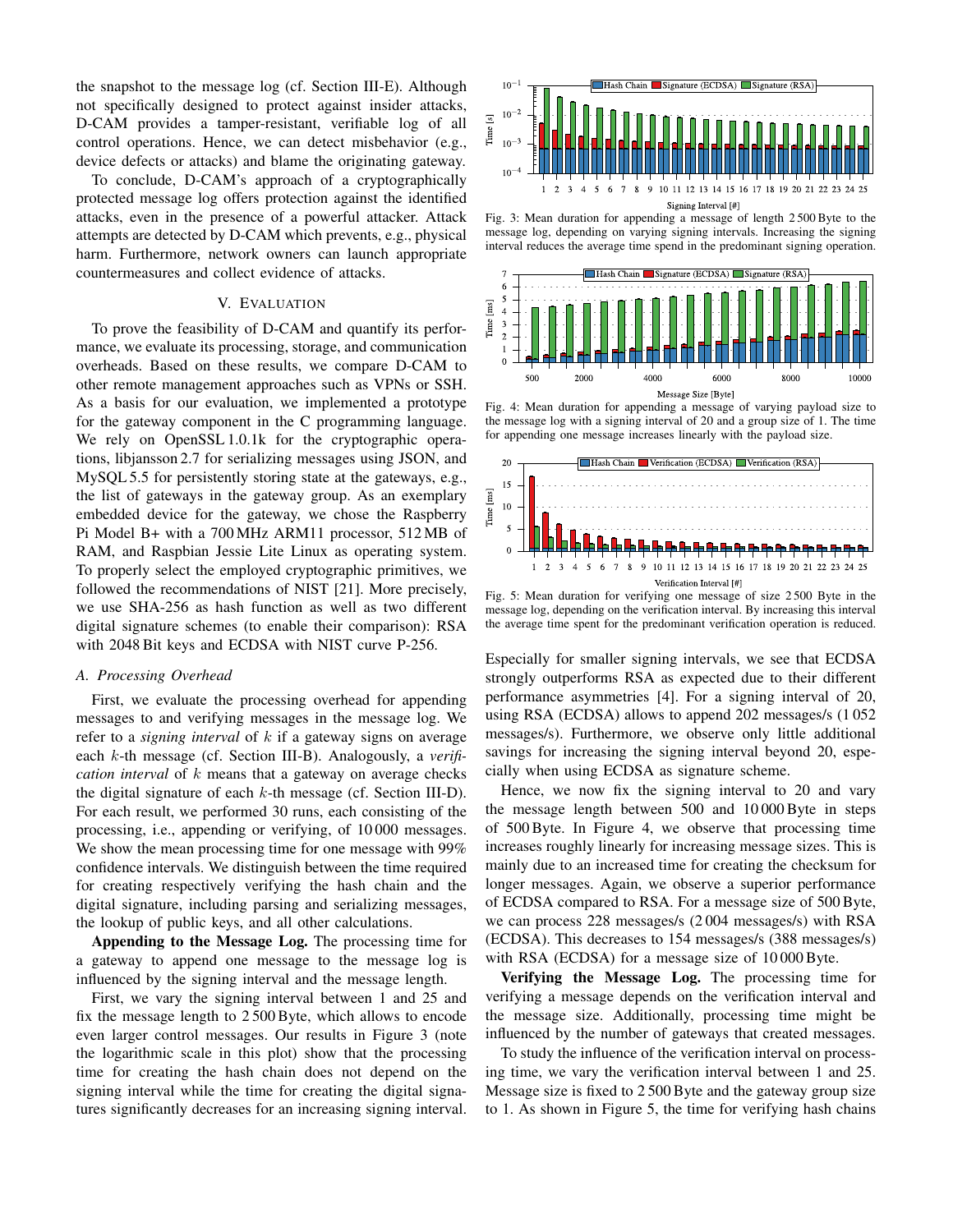the snapshot to the message log (cf. Section III-E). Although not specifically designed to protect against insider attacks, D-CAM provides a tamper-resistant, verifiable log of all control operations. Hence, we can detect misbehavior (e.g., device defects or attacks) and blame the originating gateway.

To conclude, D-CAM's approach of a cryptographically protected message log offers protection against the identified attacks, even in the presence of a powerful attacker. Attack attempts are detected by D-CAM which prevents, e.g., physical harm. Furthermore, network owners can launch appropriate countermeasures and collect evidence of attacks.

#### V. EVALUATION

To prove the feasibility of D-CAM and quantify its performance, we evaluate its processing, storage, and communication overheads. Based on these results, we compare D-CAM to other remote management approaches such as VPNs or SSH. As a basis for our evaluation, we implemented a prototype for the gateway component in the C programming language. We rely on OpenSSL 1.0.1k for the cryptographic operations, libjansson 2.7 for serializing messages using JSON, and MySQL 5.5 for persistently storing state at the gateways, e.g., the list of gateways in the gateway group. As an exemplary embedded device for the gateway, we chose the Raspberry Pi Model B+ with a 700 MHz ARM11 processor, 512 MB of RAM, and Raspbian Jessie Lite Linux as operating system. To properly select the employed cryptographic primitives, we followed the recommendations of NIST [21]. More precisely, we use SHA-256 as hash function as well as two different digital signature schemes (to enable their comparison): RSA with 2048 Bit keys and ECDSA with NIST curve P-256.

#### *A. Processing Overhead*

First, we evaluate the processing overhead for appending messages to and verifying messages in the message log. We refer to a *signing interval* of k if a gateway signs on average each k-th message (cf. Section III-B). Analogously, a *verification interval* of k means that a gateway on average checks the digital signature of each  $k$ -th message (cf. Section III-D). For each result, we performed 30 runs, each consisting of the processing, i.e., appending or verifying, of 10 000 messages. We show the mean processing time for one message with 99% confidence intervals. We distinguish between the time required for creating respectively verifying the hash chain and the digital signature, including parsing and serializing messages, the lookup of public keys, and all other calculations.

Appending to the Message Log. The processing time for a gateway to append one message to the message log is influenced by the signing interval and the message length.

First, we vary the signing interval between 1 and 25 and fix the message length to 2 500 Byte, which allows to encode even larger control messages. Our results in Figure 3 (note the logarithmic scale in this plot) show that the processing time for creating the hash chain does not depend on the signing interval while the time for creating the digital signatures significantly decreases for an increasing signing interval.



Fig. 3: Mean duration for appending a message of length 2 500 Byte to the message log, depending on varying signing intervals. Increasing the signing interval reduces the average time spend in the predominant signing operation.



Fig. 4: Mean duration for appending a message of varying payload size to the message log with a signing interval of 20 and a group size of 1. The time for appending one message increases linearly with the payload size.



Fig. 5: Mean duration for verifying one message of size 2 500 Byte in the message log, depending on the verification interval. By increasing this interval the average time spent for the predominant verification operation is reduced.

Especially for smaller signing intervals, we see that ECDSA strongly outperforms RSA as expected due to their different performance asymmetries [4]. For a signing interval of 20, using RSA (ECDSA) allows to append 202 messages/s (1 052 messages/s). Furthermore, we observe only little additional savings for increasing the signing interval beyond 20, especially when using ECDSA as signature scheme.

Hence, we now fix the signing interval to 20 and vary the message length between 500 and 10 000 Byte in steps of 500 Byte. In Figure 4, we observe that processing time increases roughly linearly for increasing message sizes. This is mainly due to an increased time for creating the checksum for longer messages. Again, we observe a superior performance of ECDSA compared to RSA. For a message size of 500 Byte, we can process 228 messages/s (2 004 messages/s) with RSA (ECDSA). This decreases to 154 messages/s (388 messages/s) with RSA (ECDSA) for a message size of 10 000 Byte.

Verifying the Message Log. The processing time for verifying a message depends on the verification interval and the message size. Additionally, processing time might be influenced by the number of gateways that created messages.

To study the influence of the verification interval on processing time, we vary the verification interval between 1 and 25. Message size is fixed to 2 500 Byte and the gateway group size to 1. As shown in Figure 5, the time for verifying hash chains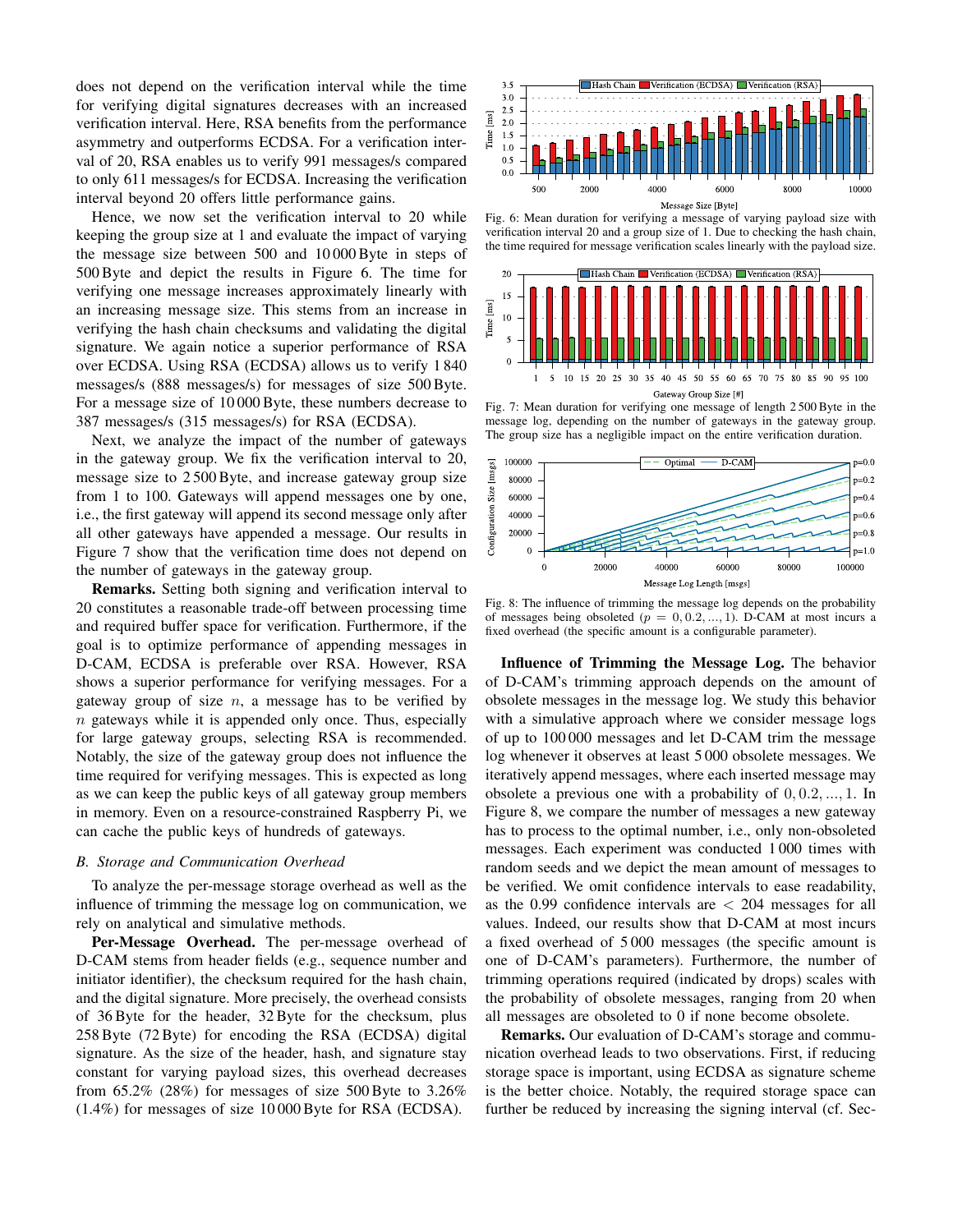does not depend on the verification interval while the time for verifying digital signatures decreases with an increased verification interval. Here, RSA benefits from the performance asymmetry and outperforms ECDSA. For a verification interval of 20, RSA enables us to verify 991 messages/s compared to only 611 messages/s for ECDSA. Increasing the verification interval beyond 20 offers little performance gains.

Hence, we now set the verification interval to 20 while keeping the group size at 1 and evaluate the impact of varying the message size between 500 and 10 000 Byte in steps of 500 Byte and depict the results in Figure 6. The time for verifying one message increases approximately linearly with an increasing message size. This stems from an increase in verifying the hash chain checksums and validating the digital signature. We again notice a superior performance of RSA over ECDSA. Using RSA (ECDSA) allows us to verify 1 840 messages/s (888 messages/s) for messages of size 500 Byte. For a message size of 10 000 Byte, these numbers decrease to 387 messages/s (315 messages/s) for RSA (ECDSA).

Next, we analyze the impact of the number of gateways in the gateway group. We fix the verification interval to 20, message size to 2 500 Byte, and increase gateway group size from 1 to 100. Gateways will append messages one by one, i.e., the first gateway will append its second message only after all other gateways have appended a message. Our results in Figure 7 show that the verification time does not depend on the number of gateways in the gateway group.

Remarks. Setting both signing and verification interval to 20 constitutes a reasonable trade-off between processing time and required buffer space for verification. Furthermore, if the goal is to optimize performance of appending messages in D-CAM, ECDSA is preferable over RSA. However, RSA shows a superior performance for verifying messages. For a gateway group of size  $n$ , a message has to be verified by  $n$  gateways while it is appended only once. Thus, especially for large gateway groups, selecting RSA is recommended. Notably, the size of the gateway group does not influence the time required for verifying messages. This is expected as long as we can keep the public keys of all gateway group members in memory. Even on a resource-constrained Raspberry Pi, we can cache the public keys of hundreds of gateways.

## *B. Storage and Communication Overhead*

To analyze the per-message storage overhead as well as the influence of trimming the message log on communication, we rely on analytical and simulative methods.

Per-Message Overhead. The per-message overhead of D-CAM stems from header fields (e.g., sequence number and initiator identifier), the checksum required for the hash chain, and the digital signature. More precisely, the overhead consists of 36 Byte for the header, 32 Byte for the checksum, plus 258 Byte (72 Byte) for encoding the RSA (ECDSA) digital signature. As the size of the header, hash, and signature stay constant for varying payload sizes, this overhead decreases from 65.2% (28%) for messages of size 500 Byte to 3.26% (1.4%) for messages of size 10 000 Byte for RSA (ECDSA).



Fig. 6: Mean duration for verifying a message of varying payload size with verification interval 20 and a group size of 1. Due to checking the hash chain, the time required for message verification scales linearly with the payload size.



Fig. 7: Mean duration for verifying one message of length 2 500 Byte in the message log, depending on the number of gateways in the gateway group. The group size has a negligible impact on the entire verification duration.



Fig. 8: The influence of trimming the message log depends on the probability of messages being obsoleted ( $p = 0, 0.2, ..., 1$ ). D-CAM at most incurs a fixed overhead (the specific amount is a configurable parameter).

Influence of Trimming the Message Log. The behavior of D-CAM's trimming approach depends on the amount of obsolete messages in the message log. We study this behavior with a simulative approach where we consider message logs of up to 100 000 messages and let D-CAM trim the message log whenever it observes at least 5 000 obsolete messages. We iteratively append messages, where each inserted message may obsolete a previous one with a probability of  $0, 0.2, ..., 1$ . In Figure 8, we compare the number of messages a new gateway has to process to the optimal number, i.e., only non-obsoleted messages. Each experiment was conducted 1 000 times with random seeds and we depict the mean amount of messages to be verified. We omit confidence intervals to ease readability, as the 0.99 confidence intervals are < 204 messages for all values. Indeed, our results show that D-CAM at most incurs a fixed overhead of 5 000 messages (the specific amount is one of D-CAM's parameters). Furthermore, the number of trimming operations required (indicated by drops) scales with the probability of obsolete messages, ranging from 20 when all messages are obsoleted to 0 if none become obsolete.

Remarks. Our evaluation of D-CAM's storage and communication overhead leads to two observations. First, if reducing storage space is important, using ECDSA as signature scheme is the better choice. Notably, the required storage space can further be reduced by increasing the signing interval (cf. Sec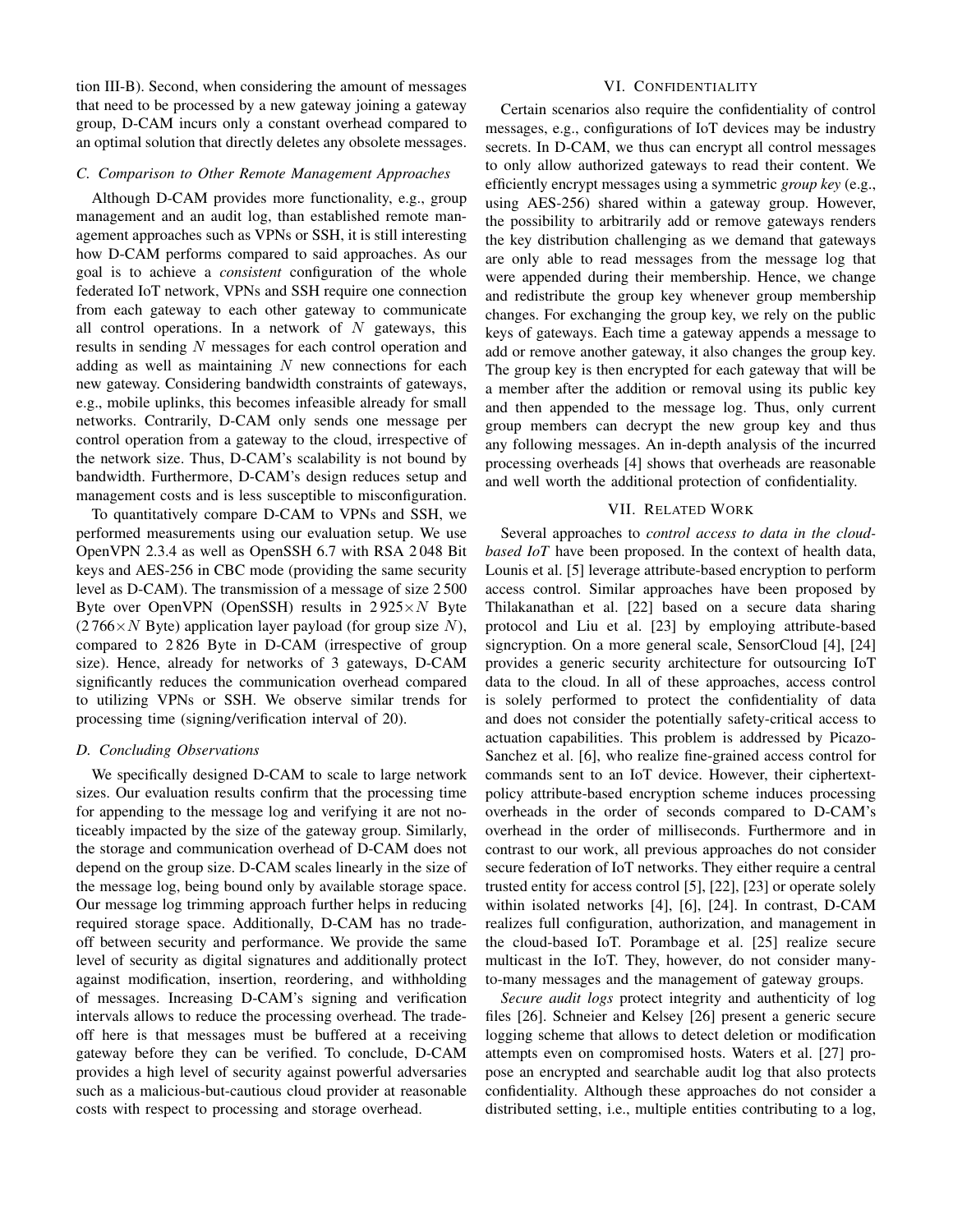tion III-B). Second, when considering the amount of messages that need to be processed by a new gateway joining a gateway group, D-CAM incurs only a constant overhead compared to an optimal solution that directly deletes any obsolete messages.

#### *C. Comparison to Other Remote Management Approaches*

Although D-CAM provides more functionality, e.g., group management and an audit log, than established remote management approaches such as VPNs or SSH, it is still interesting how D-CAM performs compared to said approaches. As our goal is to achieve a *consistent* configuration of the whole federated IoT network, VPNs and SSH require one connection from each gateway to each other gateway to communicate all control operations. In a network of  $N$  gateways, this results in sending N messages for each control operation and adding as well as maintaining  $N$  new connections for each new gateway. Considering bandwidth constraints of gateways, e.g., mobile uplinks, this becomes infeasible already for small networks. Contrarily, D-CAM only sends one message per control operation from a gateway to the cloud, irrespective of the network size. Thus, D-CAM's scalability is not bound by bandwidth. Furthermore, D-CAM's design reduces setup and management costs and is less susceptible to misconfiguration.

To quantitatively compare D-CAM to VPNs and SSH, we performed measurements using our evaluation setup. We use OpenVPN 2.3.4 as well as OpenSSH 6.7 with RSA 2 048 Bit keys and AES-256 in CBC mode (providing the same security level as D-CAM). The transmission of a message of size 2 500 Byte over OpenVPN (OpenSSH) results in  $2925 \times N$  Byte  $(2766\times N$  Byte) application layer payload (for group size N), compared to 2 826 Byte in D-CAM (irrespective of group size). Hence, already for networks of 3 gateways, D-CAM significantly reduces the communication overhead compared to utilizing VPNs or SSH. We observe similar trends for processing time (signing/verification interval of 20).

## *D. Concluding Observations*

We specifically designed D-CAM to scale to large network sizes. Our evaluation results confirm that the processing time for appending to the message log and verifying it are not noticeably impacted by the size of the gateway group. Similarly, the storage and communication overhead of D-CAM does not depend on the group size. D-CAM scales linearly in the size of the message log, being bound only by available storage space. Our message log trimming approach further helps in reducing required storage space. Additionally, D-CAM has no tradeoff between security and performance. We provide the same level of security as digital signatures and additionally protect against modification, insertion, reordering, and withholding of messages. Increasing D-CAM's signing and verification intervals allows to reduce the processing overhead. The tradeoff here is that messages must be buffered at a receiving gateway before they can be verified. To conclude, D-CAM provides a high level of security against powerful adversaries such as a malicious-but-cautious cloud provider at reasonable costs with respect to processing and storage overhead.

# VI. CONFIDENTIALITY

Certain scenarios also require the confidentiality of control messages, e.g., configurations of IoT devices may be industry secrets. In D-CAM, we thus can encrypt all control messages to only allow authorized gateways to read their content. We efficiently encrypt messages using a symmetric *group key* (e.g., using AES-256) shared within a gateway group. However, the possibility to arbitrarily add or remove gateways renders the key distribution challenging as we demand that gateways are only able to read messages from the message log that were appended during their membership. Hence, we change and redistribute the group key whenever group membership changes. For exchanging the group key, we rely on the public keys of gateways. Each time a gateway appends a message to add or remove another gateway, it also changes the group key. The group key is then encrypted for each gateway that will be a member after the addition or removal using its public key and then appended to the message log. Thus, only current group members can decrypt the new group key and thus any following messages. An in-depth analysis of the incurred processing overheads [4] shows that overheads are reasonable and well worth the additional protection of confidentiality.

### VII. RELATED WORK

Several approaches to *control access to data in the cloudbased IoT* have been proposed. In the context of health data, Lounis et al. [5] leverage attribute-based encryption to perform access control. Similar approaches have been proposed by Thilakanathan et al. [22] based on a secure data sharing protocol and Liu et al. [23] by employing attribute-based signcryption. On a more general scale, SensorCloud [4], [24] provides a generic security architecture for outsourcing IoT data to the cloud. In all of these approaches, access control is solely performed to protect the confidentiality of data and does not consider the potentially safety-critical access to actuation capabilities. This problem is addressed by Picazo-Sanchez et al. [6], who realize fine-grained access control for commands sent to an IoT device. However, their ciphertextpolicy attribute-based encryption scheme induces processing overheads in the order of seconds compared to D-CAM's overhead in the order of milliseconds. Furthermore and in contrast to our work, all previous approaches do not consider secure federation of IoT networks. They either require a central trusted entity for access control [5], [22], [23] or operate solely within isolated networks [4], [6], [24]. In contrast, D-CAM realizes full configuration, authorization, and management in the cloud-based IoT. Porambage et al. [25] realize secure multicast in the IoT. They, however, do not consider manyto-many messages and the management of gateway groups.

*Secure audit logs* protect integrity and authenticity of log files [26]. Schneier and Kelsey [26] present a generic secure logging scheme that allows to detect deletion or modification attempts even on compromised hosts. Waters et al. [27] propose an encrypted and searchable audit log that also protects confidentiality. Although these approaches do not consider a distributed setting, i.e., multiple entities contributing to a log,